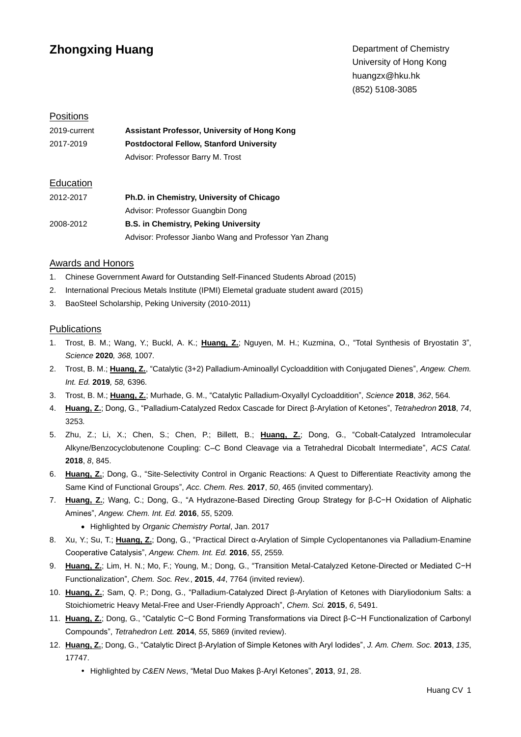# **Zhongxing Huang**

Department of Chemistry University of Hong Kong huangzx@hku.hk (852) 5108-3085

## **Positions**

| 2019-current | Assistant Professor, University of Hong Kong    |
|--------------|-------------------------------------------------|
| 2017-2019    | <b>Postdoctoral Fellow, Stanford University</b> |
|              | Advisor: Professor Barry M. Trost               |
| Education    |                                                 |

| 2012-2017 | Ph.D. in Chemistry, University of Chicago              |
|-----------|--------------------------------------------------------|
|           | Advisor: Professor Guangbin Dong                       |
| 2008-2012 | <b>B.S. in Chemistry, Peking University</b>            |
|           | Advisor: Professor Jianbo Wang and Professor Yan Zhang |

#### Awards and Honors

- 1. Chinese Government Award for Outstanding Self-Financed Students Abroad (2015)
- 2. International Precious Metals Institute (IPMI) Elemetal graduate student award (2015)
- 3. BaoSteel Scholarship, Peking University (2010-2011)

#### **Publications**

- 1. Trost, B. M.; Wang, Y.; Buckl, A. K.; **Huang, Z.**; Nguyen, M. H.; Kuzmina, O., "Total Synthesis of Bryostatin 3", *Science* **2020***, 368,* 1007*.*
- 2. Trost, B. M.; **Huang, Z.**, "Catalytic (3+2) Palladium-Aminoallyl Cycloaddition with Conjugated Dienes", *Angew. Chem. Int. Ed.* **2019***, 58,* 6396*.*
- 3. Trost, B. M.; **Huang, Z.**; Murhade, G. M., "Catalytic Palladium-Oxyallyl Cycloaddition", *Science* **2018**, *362*, 564*.*
- 4. **Huang, Z.**; Dong, G., "Palladium-Catalyzed Redox Cascade for Direct β-Arylation of Ketones", *Tetrahedron* **2018**, *74*, 3253*.*
- 5. Zhu, Z.; Li, X.; Chen, S.; Chen, P.; Billett, B.; **Huang, Z.**; Dong, G., "Cobalt-Catalyzed Intramolecular Alkyne/Benzocyclobutenone Coupling: C–C Bond Cleavage via a Tetrahedral Dicobalt Intermediate", *ACS Catal.* **2018**, *8*, 845.
- 6. **Huang, Z.**; Dong, G., "Site-Selectivity Control in Organic Reactions: A Quest to Differentiate Reactivity among the Same Kind of Functional Groups", *Acc. Chem. Res.* **2017**, *50*, 465 (invited commentary)*.*
- 7. **Huang, Z.**; Wang, C.; Dong, G., "A Hydrazone-Based Directing Group Strategy for β-C−H Oxidation of Aliphatic Amines", *Angew. Chem. Int. Ed.* **2016**, *55*, 5209*.*
	- Highlighted by *Organic Chemistry Portal*, Jan. 2017
- 8. Xu, Y.; Su, T.; **Huang, Z.**; Dong, G., "Practical Direct α-Arylation of Simple Cyclopentanones via Palladium-Enamine Cooperative Catalysis", *Angew. Chem. Int. Ed.* **2016**, *55*, 2559*.*
- 9. Huang, Z.; Lim, H. N.; Mo, F.; Young, M.; Dong, G., "Transition Metal-Catalyzed Ketone-Directed or Mediated C−H Functionalization", *Chem. Soc. Rev.*, **2015**, *44*, 7764 (invited review).
- 10. **Huang, Z.**; Sam, Q. P.; Dong, G., "Palladium-Catalyzed Direct β-Arylation of Ketones with Diaryliodonium Salts: a Stoichiometric Heavy Metal-Free and User-Friendly Approach", *Chem. Sci.* **2015**, *6*, 5491.
- 11. **Huang, Z.**; Dong, G., "Catalytic C−C Bond Forming Transformations via Direct β-C−H Functionalization of Carbonyl Compounds", *Tetrahedron Lett.* **2014**, *55*, 5869 (invited review).
- 12. **Huang, Z.**; Dong, G., "Catalytic Direct β-Arylation of Simple Ketones with Aryl Iodides", *J. Am. Chem. Soc.* **2013**, *135*, 17747.
	- Highlighted by *C&EN News*, "Metal Duo Makes β-Aryl Ketones", **2013**, *91*, 28.